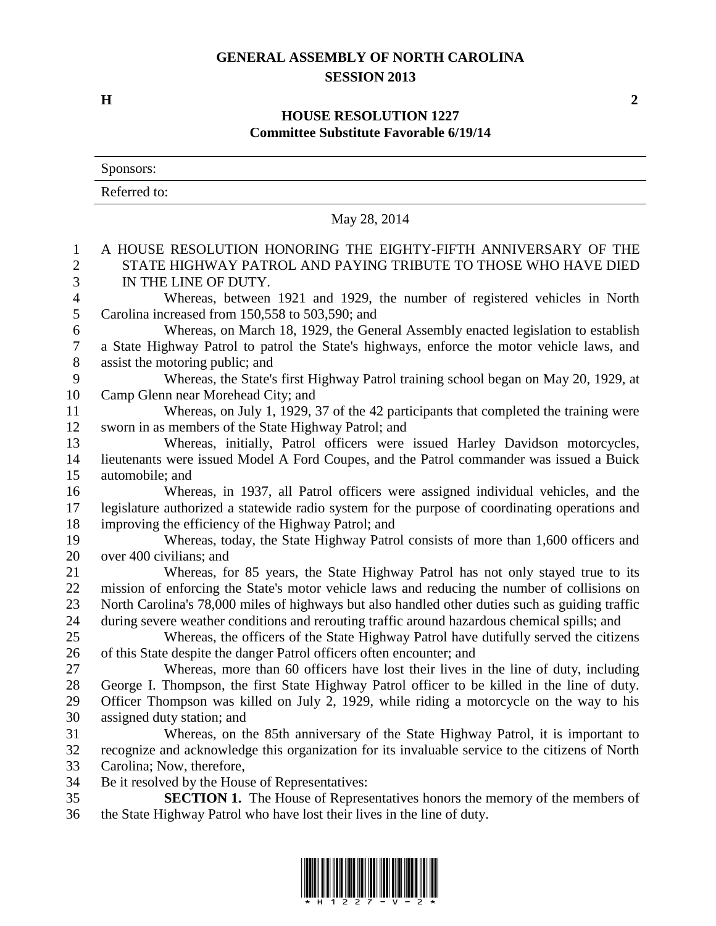## **GENERAL ASSEMBLY OF NORTH CAROLINA SESSION 2013**

**H 2**

## **HOUSE RESOLUTION 1227 Committee Substitute Favorable 6/19/14**

|                  | Sponsors:                                                                                                                                                                |
|------------------|--------------------------------------------------------------------------------------------------------------------------------------------------------------------------|
|                  | Referred to:                                                                                                                                                             |
|                  | May 28, 2014                                                                                                                                                             |
| 1                | A HOUSE RESOLUTION HONORING THE EIGHTY-FIFTH ANNIVERSARY OF THE                                                                                                          |
| $\mathbf{2}$     | STATE HIGHWAY PATROL AND PAYING TRIBUTE TO THOSE WHO HAVE DIED                                                                                                           |
| 3                | IN THE LINE OF DUTY.                                                                                                                                                     |
| $\overline{4}$   | Whereas, between 1921 and 1929, the number of registered vehicles in North                                                                                               |
| $\mathfrak{S}$   | Carolina increased from 150,558 to 503,590; and                                                                                                                          |
| 6                | Whereas, on March 18, 1929, the General Assembly enacted legislation to establish                                                                                        |
| $\boldsymbol{7}$ | a State Highway Patrol to patrol the State's highways, enforce the motor vehicle laws, and                                                                               |
| $\,8\,$          | assist the motoring public; and                                                                                                                                          |
| 9                | Whereas, the State's first Highway Patrol training school began on May 20, 1929, at                                                                                      |
| 10               | Camp Glenn near Morehead City; and                                                                                                                                       |
| 11               | Whereas, on July 1, 1929, 37 of the 42 participants that completed the training were                                                                                     |
| 12               | sworn in as members of the State Highway Patrol; and                                                                                                                     |
| 13<br>14         | Whereas, initially, Patrol officers were issued Harley Davidson motorcycles,<br>lieutenants were issued Model A Ford Coupes, and the Patrol commander was issued a Buick |
| 15               | automobile; and                                                                                                                                                          |
| 16               | Whereas, in 1937, all Patrol officers were assigned individual vehicles, and the                                                                                         |
| 17               | legislature authorized a statewide radio system for the purpose of coordinating operations and                                                                           |
| 18               | improving the efficiency of the Highway Patrol; and                                                                                                                      |
| 19               | Whereas, today, the State Highway Patrol consists of more than 1,600 officers and                                                                                        |
| 20               | over 400 civilians; and                                                                                                                                                  |
| 21               | Whereas, for 85 years, the State Highway Patrol has not only stayed true to its                                                                                          |
| 22               | mission of enforcing the State's motor vehicle laws and reducing the number of collisions on                                                                             |
| 23               | North Carolina's 78,000 miles of highways but also handled other duties such as guiding traffic                                                                          |
| 24               | during severe weather conditions and rerouting traffic around hazardous chemical spills; and                                                                             |
| 25               | Whereas, the officers of the State Highway Patrol have dutifully served the citizens                                                                                     |
| 26               | of this State despite the danger Patrol officers often encounter; and                                                                                                    |
| 27               | Whereas, more than 60 officers have lost their lives in the line of duty, including                                                                                      |
| 28               | George I. Thompson, the first State Highway Patrol officer to be killed in the line of duty.                                                                             |
| 29               | Officer Thompson was killed on July 2, 1929, while riding a motorcycle on the way to his                                                                                 |
| 30               | assigned duty station; and                                                                                                                                               |
| 31               | Whereas, on the 85th anniversary of the State Highway Patrol, it is important to                                                                                         |
| 32               | recognize and acknowledge this organization for its invaluable service to the citizens of North                                                                          |
| 33               | Carolina; Now, therefore,                                                                                                                                                |
| 34               | Be it resolved by the House of Representatives:                                                                                                                          |
| 35               | <b>SECTION 1.</b> The House of Representatives honors the memory of the members of                                                                                       |

the State Highway Patrol who have lost their lives in the line of duty.